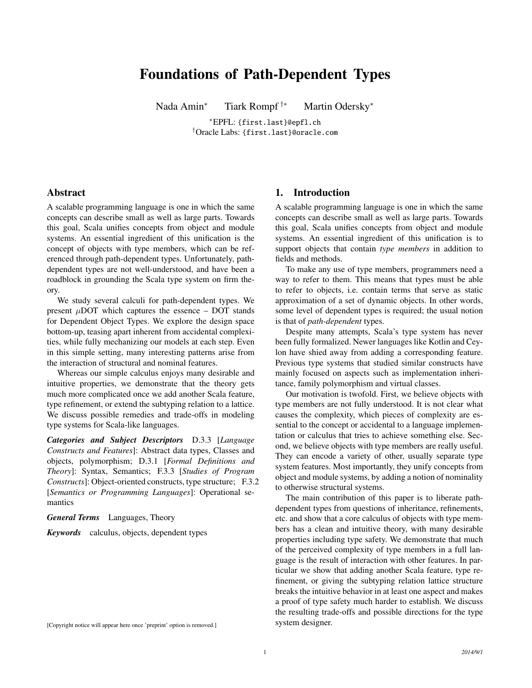# Foundations of Path-Dependent Types

Nada Amin<sup>∗</sup> Tiark Rompf †∗ Martin Odersky<sup>∗</sup>

<sup>∗</sup>EPFL: {first.last}@epfl.ch †Oracle Labs: {first.last}@oracle.com

### Abstract

A scalable programming language is one in which the same concepts can describe small as well as large parts. Towards this goal, Scala unifies concepts from object and module systems. An essential ingredient of this unification is the concept of objects with type members, which can be referenced through path-dependent types. Unfortunately, pathdependent types are not well-understood, and have been a roadblock in grounding the Scala type system on firm theory.

We study several calculi for path-dependent types. We present  $\mu$ DOT which captures the essence – DOT stands for Dependent Object Types. We explore the design space bottom-up, teasing apart inherent from accidental complexities, while fully mechanizing our models at each step. Even in this simple setting, many interesting patterns arise from the interaction of structural and nominal features.

Whereas our simple calculus enjoys many desirable and intuitive properties, we demonstrate that the theory gets much more complicated once we add another Scala feature, type refinement, or extend the subtyping relation to a lattice. We discuss possible remedies and trade-offs in modeling type systems for Scala-like languages.

*Categories and Subject Descriptors* D.3.3 [*Language Constructs and Features*]: Abstract data types, Classes and objects, polymorphism; D.3.1 [*Formal Definitions and Theory*]: Syntax, Semantics; F.3.3 [*Studies of Program Constructs*]: Object-oriented constructs, type structure; F.3.2 [*Semantics or Programming Languages*]: Operational semantics

*General Terms* Languages, Theory

*Keywords* calculus, objects, dependent types

# 1. Introduction

A scalable programming language is one in which the same concepts can describe small as well as large parts. Towards this goal, Scala unifies concepts from object and module systems. An essential ingredient of this unification is to support objects that contain *type members* in addition to fields and methods.

To make any use of type members, programmers need a way to refer to them. This means that types must be able to refer to objects, i.e. contain terms that serve as static approximation of a set of dynamic objects. In other words, some level of dependent types is required; the usual notion is that of *path-dependent* types.

Despite many attempts, Scala's type system has never been fully formalized. Newer languages like Kotlin and Ceylon have shied away from adding a corresponding feature. Previous type systems that studied similar constructs have mainly focused on aspects such as implementation inheritance, family polymorphism and virtual classes.

Our motivation is twofold. First, we believe objects with type members are not fully understood. It is not clear what causes the complexity, which pieces of complexity are essential to the concept or accidental to a language implementation or calculus that tries to achieve something else. Second, we believe objects with type members are really useful. They can encode a variety of other, usually separate type system features. Most importantly, they unify concepts from object and module systems, by adding a notion of nominality to otherwise structural systems.

The main contribution of this paper is to liberate pathdependent types from questions of inheritance, refinements, etc. and show that a core calculus of objects with type members has a clean and intuitive theory, with many desirable properties including type safety. We demonstrate that much of the perceived complexity of type members in a full language is the result of interaction with other features. In particular we show that adding another Scala feature, type refinement, or giving the subtyping relation lattice structure breaks the intuitive behavior in at least one aspect and makes a proof of type safety much harder to establish. We discuss the resulting trade-offs and possible directions for the type system designer.

[Copyright notice will appear here once 'preprint' option is removed.]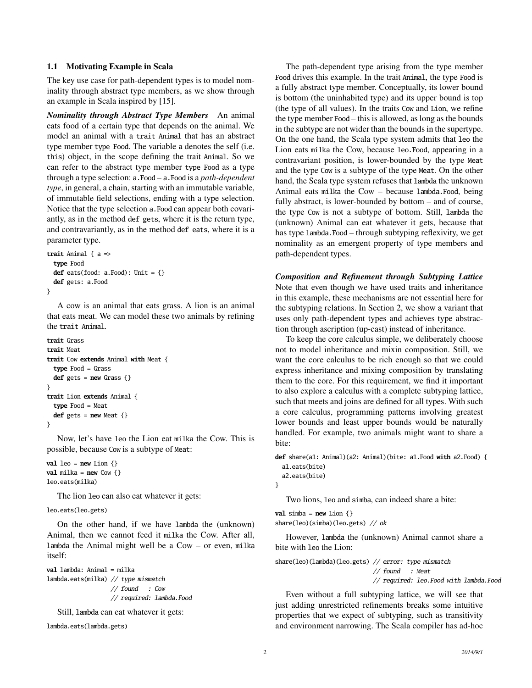### 1.1 Motivating Example in Scala

The key use case for path-dependent types is to model nominality through abstract type members, as we show through an example in Scala inspired by [15].

*Nominality through Abstract Type Members* An animal eats food of a certain type that depends on the animal. We model an animal with a trait Animal that has an abstract type member type Food. The variable a denotes the self (i.e. this) object, in the scope defining the trait Animal. So we can refer to the abstract type member type Food as a type through a type selection: a.Food – a.Food is a *path-dependent type*, in general, a chain, starting with an immutable variable, of immutable field selections, ending with a type selection. Notice that the type selection a.Food can appear both covariantly, as in the method def gets, where it is the return type, and contravariantly, as in the method def eats, where it is a parameter type.

```
trait Animal { a =>
 type Food
 def eats(food: a.Food): Unit = {}
 def gets: a.Food
}
```
A cow is an animal that eats grass. A lion is an animal that eats meat. We can model these two animals by refining the trait Animal.

```
trait Grass
trait Meat
trait Cow extends Animal with Meat {
 type Food = Grass
 def gets = new Grass {}
}
trait Lion extends Animal {
 type Food = Meat
 def gets = new Meat {}}
```
Now, let's have leo the Lion eat milka the Cow. This is possible, because Cow is a subtype of Meat:

```
val leo = new Lion {}
val milka = new Cow {}
leo.eats(milka)
```
The lion leo can also eat whatever it gets:

```
leo.eats(leo.gets)
```
On the other hand, if we have lambda the (unknown) Animal, then we cannot feed it milka the Cow. After all, lambda the Animal might well be a Cow – or even, milka itself:

```
val lambda: Animal = milka
lambda.eats(milka) // type mismatch
                  // found : Cow
                  // required: lambda.Food
```
Still, lambda can eat whatever it gets:

```
lambda.eats(lambda.gets)
```
The path-dependent type arising from the type member Food drives this example. In the trait Animal, the type Food is a fully abstract type member. Conceptually, its lower bound is bottom (the uninhabited type) and its upper bound is top (the type of all values). In the traits Cow and Lion, we refine the type member Food – this is allowed, as long as the bounds in the subtype are not wider than the bounds in the supertype. On the one hand, the Scala type system admits that leo the Lion eats milka the Cow, because leo.Food, appearing in a contravariant position, is lower-bounded by the type Meat and the type Cow is a subtype of the type Meat. On the other hand, the Scala type system refuses that lambda the unknown Animal eats milka the Cow – because lambda.Food, being fully abstract, is lower-bounded by bottom – and of course, the type Cow is not a subtype of bottom. Still, lambda the (unknown) Animal can eat whatever it gets, because that has type lambda.Food – through subtyping reflexivity, we get nominality as an emergent property of type members and path-dependent types.

*Composition and Refinement through Subtyping Lattice* Note that even though we have used traits and inheritance in this example, these mechanisms are not essential here for the subtyping relations. In Section 2, we show a variant that uses only path-dependent types and achieves type abstraction through ascription (up-cast) instead of inheritance.

To keep the core calculus simple, we deliberately choose not to model inheritance and mixin composition. Still, we want the core calculus to be rich enough so that we could express inheritance and mixing composition by translating them to the core. For this requirement, we find it important to also explore a calculus with a complete subtyping lattice, such that meets and joins are defined for all types. With such a core calculus, programming patterns involving greatest lower bounds and least upper bounds would be naturally handled. For example, two animals might want to share a bite:

**def** share(a1: Animal)(a2: Animal)(bite: a1.Food **with** a2.Food) { a1.eats(bite) a2.eats(bite)

}

Two lions, leo and simba, can indeed share a bite:

 $val \simeq new \text{ Lion } \{\}$ share(leo)(simba)(leo.gets) // ok

However, lambda the (unknown) Animal cannot share a bite with leo the Lion:

```
share(leo)(lambda)(leo.gets) // error: type mismatch
                            // found : Meat
                            // required: leo.Food with lambda.Food
```
Even without a full subtyping lattice, we will see that just adding unrestricted refinements breaks some intuitive properties that we expect of subtyping, such as transitivity and environment narrowing. The Scala compiler has ad-hoc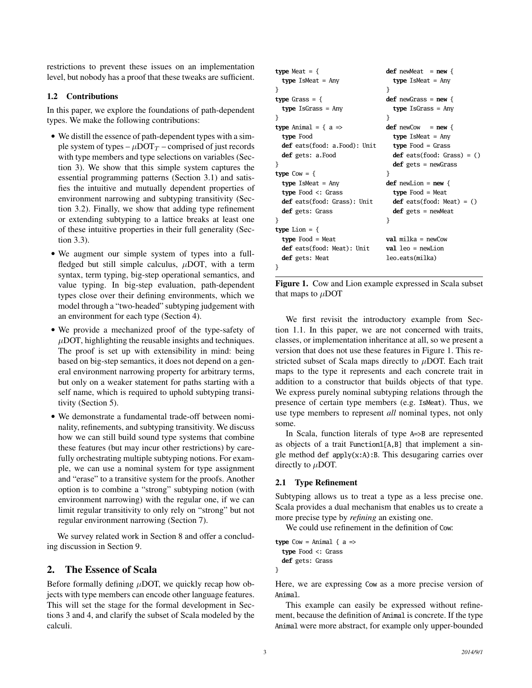restrictions to prevent these issues on an implementation level, but nobody has a proof that these tweaks are sufficient.

### 1.2 Contributions

In this paper, we explore the foundations of path-dependent types. We make the following contributions:

- We distill the essence of path-dependent types with a simple system of types –  $\mu$ DOT $_T$  – comprised of just records with type members and type selections on variables (Section 3). We show that this simple system captures the essential programming patterns (Section 3.1) and satisfies the intuitive and mutually dependent properties of environment narrowing and subtyping transitivity (Section 3.2). Finally, we show that adding type refinement or extending subtyping to a lattice breaks at least one of these intuitive properties in their full generality (Section 3.3).
- We augment our simple system of types into a fullfledged but still simple calculus,  $\mu$ DOT, with a term syntax, term typing, big-step operational semantics, and value typing. In big-step evaluation, path-dependent types close over their defining environments, which we model through a "two-headed" subtyping judgement with an environment for each type (Section 4).
- We provide a mechanized proof of the type-safety of  $\mu$ DOT, highlighting the reusable insights and techniques. The proof is set up with extensibility in mind: being based on big-step semantics, it does not depend on a general environment narrowing property for arbitrary terms, but only on a weaker statement for paths starting with a self name, which is required to uphold subtyping transitivity (Section 5).
- We demonstrate a fundamental trade-off between nominality, refinements, and subtyping transitivity. We discuss how we can still build sound type systems that combine these features (but may incur other restrictions) by carefully orchestrating multiple subtyping notions. For example, we can use a nominal system for type assignment and "erase" to a transitive system for the proofs. Another option is to combine a "strong" subtyping notion (with environment narrowing) with the regular one, if we can limit regular transitivity to only rely on "strong" but not regular environment narrowing (Section 7).

We survey related work in Section 8 and offer a concluding discussion in Section 9.

# 2. The Essence of Scala

Before formally defining  $\mu$ DOT, we quickly recap how objects with type members can encode other language features. This will set the stage for the formal development in Sections 3 and 4, and clarify the subset of Scala modeled by the calculi.

| <b>type</b> Meat = $\{$                | $def$ newMeat = new {        |
|----------------------------------------|------------------------------|
| <b>type</b> IsMeat = $Any$             | <b>type</b> $IsMeat = Any$   |
| ł                                      | ł                            |
| <b>type</b> Grass = $\{$               | $def$ newGrass = new {       |
| type $IsGrass = Any$                   | <b>type</b> $IsGrass = Any$  |
| ł                                      | ł                            |
| <b>type</b> Animal = { $a \Rightarrow$ | $def newCow = new { }$       |
| type Food                              | <b>type</b> $IsMeat = Any$   |
| def eats(food: a Food): Unit           | <b>type</b> Food = Grass     |
| def gets: a.Food                       | $def$ eats(food: Grass) = () |
| ł                                      | $def$ gets = newGrass        |
| <b>type</b> $Cow = \{$                 | ł                            |
| <b>type</b> IsMeat = $Any$             | $def$ newLion = new {        |
| <b>type</b> Food $\lt$ : Grass         | <b>type</b> Food = Meat      |
| <b>def</b> eats(food: Grass): Unit     | $def$ eats(food: Meat) = ()  |
| def gets: Grass                        | $def$ gets = newMeat         |
| ł                                      | ł                            |
| <b>type</b> Lion = $\{$                |                              |
| <b>type</b> Food = Meat                | $val$ milka = newCow         |
| <b>def</b> eats(food: Meat): Unit      | $val$ leo = newLion          |
| def gets: Meat                         | leo.eats(milka)              |
| ł                                      |                              |

Figure 1. Cow and Lion example expressed in Scala subset that maps to  $\mu$ DOT

We first revisit the introductory example from Section 1.1. In this paper, we are not concerned with traits, classes, or implementation inheritance at all, so we present a version that does not use these features in Figure 1. This restricted subset of Scala maps directly to  $\mu$ DOT. Each trait maps to the type it represents and each concrete trait in addition to a constructor that builds objects of that type. We express purely nominal subtyping relations through the presence of certain type members (e.g. IsMeat). Thus, we use type members to represent *all* nominal types, not only some.

In Scala, function literals of type A=>B are represented as objects of a trait Function1[A,B] that implement a single method def apply $(x:A):B$ . This desugaring carries over directly to  $\mu$ DOT.

## 2.1 Type Refinement

Subtyping allows us to treat a type as a less precise one. Scala provides a dual mechanism that enables us to create a more precise type by *refining* an existing one.

We could use refinement in the definition of Cow:

```
type Cow = Animal \{a \Rightarrowtype Food <: Grass
  def gets: Grass
}
```
Here, we are expressing Cow as a more precise version of Animal.

This example can easily be expressed without refinement, because the definition of Animal is concrete. If the type Animal were more abstract, for example only upper-bounded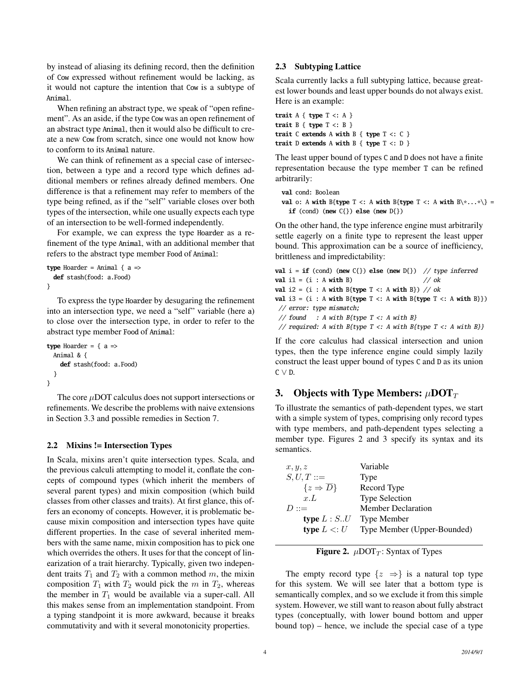by instead of aliasing its defining record, then the definition of Cow expressed without refinement would be lacking, as it would not capture the intention that Cow is a subtype of Animal.

When refining an abstract type, we speak of "open refinement". As an aside, if the type Cow was an open refinement of an abstract type Animal, then it would also be difficult to create a new Cow from scratch, since one would not know how to conform to its Animal nature.

We can think of refinement as a special case of intersection, between a type and a record type which defines additional members or refines already defined members. One difference is that a refinement may refer to members of the type being refined, as if the "self" variable closes over both types of the intersection, while one usually expects each type of an intersection to be well-formed independently.

For example, we can express the type Hoarder as a refinement of the type Animal, with an additional member that refers to the abstract type member Food of Animal:

```
type Hoarder = Animal \{ a =>
  def stash(food: a.Food)
}
```
To express the type Hoarder by desugaring the refinement into an intersection type, we need a "self" variable (here a) to close over the intersection type, in order to refer to the abstract type member Food of Animal:

```
type Hoarder = \{ a =>
  Animal & {
    def stash(food: a.Food)
  }
}
```
The core  $\mu$ DOT calculus does not support intersections or refinements. We describe the problems with naive extensions in Section 3.3 and possible remedies in Section 7.

#### 2.2 Mixins != Intersection Types

In Scala, mixins aren't quite intersection types. Scala, and the previous calculi attempting to model it, conflate the concepts of compound types (which inherit the members of several parent types) and mixin composition (which build classes from other classes and traits). At first glance, this offers an economy of concepts. However, it is problematic because mixin composition and intersection types have quite different properties. In the case of several inherited members with the same name, mixin composition has to pick one which overrides the others. It uses for that the concept of linearization of a trait hierarchy. Typically, given two independent traits  $T_1$  and  $T_2$  with a common method m, the mixin composition  $T_1$  with  $T_2$  would pick the m in  $T_2$ , whereas the member in  $T_1$  would be available via a super-call. All this makes sense from an implementation standpoint. From a typing standpoint it is more awkward, because it breaks commutativity and with it several monotonicity properties.

#### 2.3 Subtyping Lattice

Scala currently lacks a full subtyping lattice, because greatest lower bounds and least upper bounds do not always exist. Here is an example:

**trait** A { **type** T <: A } **trait** B { **type** T <: B } **trait** C **extends** A **with** B { **type** T <: C } **trait** D **extends** A **with** B { **type** T <: D }

The least upper bound of types C and D does not have a finite representation because the type member T can be refined arbitrarily:

```
val cond: Boolean
val o: A with B{type T \leq: A with B{type T \leq: A with B\*...*\} =
  if (cond) (new C{}) else (new D{})
```
On the other hand, the type inference engine must arbitrarily settle eagerly on a finite type to represent the least upper bound. This approximation can be a source of inefficiency, brittleness and impredictability:

```
val i = if (cond) (new C\{\}) else (new D\{\}) // type inferred
val i1 = (i : A with B) \qquad // ok
val i2 = (i : A with B{type T <: A with B}) // ok
val i3 = (i : A with B{type T <: A with B{type T <: A with B}})
 // error: type mismatch;
 // found : A with B{type T <: A with B}
 // required: A with B{type T <: A with B{type T <: A with B}}
```
If the core calculus had classical intersection and union types, then the type inference engine could simply lazily construct the least upper bound of types C and D as its union  $C \vee D$ .

### 3. Objects with Type Members:  $\mu$ DOT $_T$

To illustrate the semantics of path-dependent types, we start with a simple system of types, comprising only record types with type members, and path-dependent types selecting a member type. Figures 2 and 3 specify its syntax and its semantics.

| x, y, z                           | Variable                    |
|-----------------------------------|-----------------------------|
| $S, U, T ::=$                     | Type                        |
| $\{z \Rightarrow \overline{D}\}\$ | Record Type                 |
| x.L                               | Type Selection              |
| $D \cdot =$                       | <b>Member Declaration</b>   |
| type $L : S.U$                    | <b>Type Member</b>          |
| type $L \lt: U$                   | Type Member (Upper-Bounded) |

Figure 2.  $\mu$ DOT<sub>T</sub>: Syntax of Types

The empty record type  $\{z \Rightarrow \}$  is a natural top type for this system. We will see later that a bottom type is semantically complex, and so we exclude it from this simple system. However, we still want to reason about fully abstract types (conceptually, with lower bound bottom and upper bound top) – hence, we include the special case of a type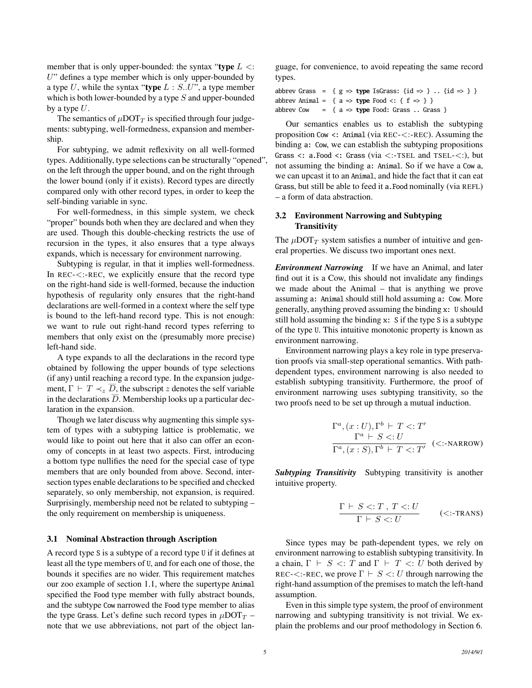member that is only upper-bounded: the syntax "type  $L \ll$ :  $U$ " defines a type member which is only upper-bounded by a type  $U$ , while the syntax "type  $L : S. U$ ", a type member which is both lower-bounded by a type S and upper-bounded by a type  $U$ .

The semantics of  $\mu$ DOT $_T$  is specified through four judgements: subtyping, well-formedness, expansion and membership.

For subtyping, we admit reflexivity on all well-formed types. Additionally, type selections can be structurally "opened", on the left through the upper bound, and on the right through the lower bound (only if it exists). Record types are directly compared only with other record types, in order to keep the self-binding variable in sync.

For well-formedness, in this simple system, we check "proper" bounds both when they are declared and when they are used. Though this double-checking restricts the use of recursion in the types, it also ensures that a type always expands, which is necessary for environment narrowing.

Subtyping is regular, in that it implies well-formedness. In REC-<:-REC, we explicitly ensure that the record type on the right-hand side is well-formed, because the induction hypothesis of regularity only ensures that the right-hand declarations are well-formed in a context where the self type is bound to the left-hand record type. This is not enough: we want to rule out right-hand record types referring to members that only exist on the (presumably more precise) left-hand side.

A type expands to all the declarations in the record type obtained by following the upper bounds of type selections (if any) until reaching a record type. In the expansion judgement,  $\Gamma \vdash T \prec_z \overline{D}$ , the subscript z denotes the self variable in the declarations  $D$ . Membership looks up a particular declaration in the expansion.

Though we later discuss why augmenting this simple system of types with a subtyping lattice is problematic, we would like to point out here that it also can offer an economy of concepts in at least two aspects. First, introducing a bottom type nullifies the need for the special case of type members that are only bounded from above. Second, intersection types enable declarations to be specified and checked separately, so only membership, not expansion, is required. Surprisingly, membership need not be related to subtyping – the only requirement on membership is uniqueness.

#### 3.1 Nominal Abstraction through Ascription

A record type S is a subtype of a record type U if it defines at least all the type members of U, and for each one of those, the bounds it specifies are no wider. This requirement matches our zoo example of section 1.1, where the supertype Animal specified the Food type member with fully abstract bounds, and the subtype Cow narrowed the Food type member to alias the type Grass. Let's define such record types in  $\mu$ DOT $_T$  – note that we use abbreviations, not part of the object language, for convenience, to avoid repeating the same record types.

```
abbrev Grass = {g \Rightarrow type IsGrass: {id \Rightarrow } .. {id \Rightarrow } }
abbrev Animal = {a \Rightarrow type Food <: {f \Rightarrow } }
abbrev Cow = \{ a \Rightarrow \text{type Food: Grass .. Grass } \}
```
Our semantics enables us to establish the subtyping proposition Cow <: Animal (via REC-<:-REC). Assuming the binding a: Cow, we can establish the subtyping propositions Grass  $\lt:$ : a. Food  $\lt:$ : Grass (via  $\lt:$ :-TSEL and TSEL- $\lt:$ :), but not assuming the binding a: Animal. So if we have a Cow a, we can upcast it to an Animal, and hide the fact that it can eat Grass, but still be able to feed it a.Food nominally (via REFL) – a form of data abstraction.

### 3.2 Environment Narrowing and Subtyping **Transitivity**

The  $\mu$ DOT $_T$  system satisfies a number of intuitive and general properties. We discuss two important ones next.

*Environment Narrowing* If we have an Animal, and later find out it is a Cow, this should not invalidate any findings we made about the Animal – that is anything we prove assuming a: Animal should still hold assuming a: Cow. More generally, anything proved assuming the binding x: U should still hold assuming the binding x: S if the type S is a subtype of the type U. This intuitive monotonic property is known as environment narrowing.

Environment narrowing plays a key role in type preservation proofs via small-step operational semantics. With pathdependent types, environment narrowing is also needed to establish subtyping transitivity. Furthermore, the proof of environment narrowing uses subtyping transitivity, so the two proofs need to be set up through a mutual induction.

$$
\frac{\Gamma^a, (x:U), \Gamma^b \vdash T <: T'}{\Gamma^a \vdash S <: U} \frac{\Gamma^a \vdash S <: U}{\Gamma^a, (x:S), \Gamma^b \vdash T <: T'} \quad (<\text{-NARROW})
$$

*Subtyping Transitivity* Subtyping transitivity is another intuitive property.

$$
\frac{\Gamma \vdash S <: T \,, \, T <: U}{\Gamma \vdash S <: U} \qquad \text{(&\text{-}trans)}
$$

Since types may be path-dependent types, we rely on environment narrowing to establish subtyping transitivity. In a chain,  $\Gamma \vdash S \lt: T$  and  $\Gamma \vdash T \lt: U$  both derived by REC- $\leq$ :-REC, we prove  $\Gamma \vdash S \leq U$  through narrowing the right-hand assumption of the premises to match the left-hand assumption.

Even in this simple type system, the proof of environment narrowing and subtyping transitivity is not trivial. We explain the problems and our proof methodology in Section 6.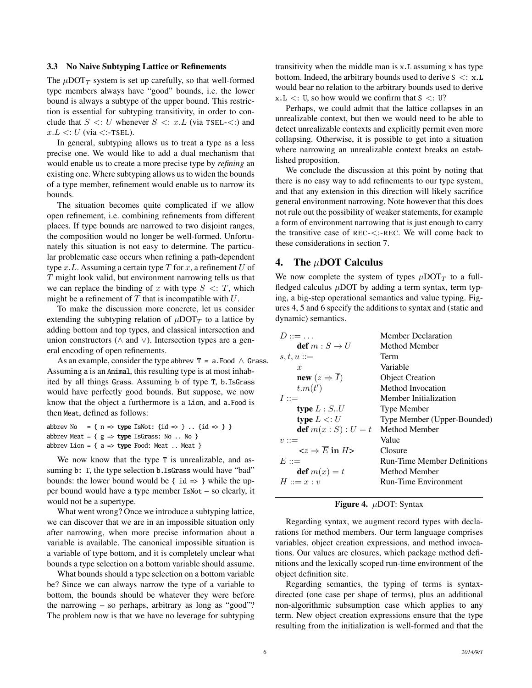#### 3.3 No Naive Subtyping Lattice or Refinements

The  $\mu$ DOT<sub>T</sub> system is set up carefully, so that well-formed type members always have "good" bounds, i.e. the lower bound is always a subtype of the upper bound. This restriction is essential for subtyping transitivity, in order to conclude that  $S \le U$  whenever  $S \le x.L$  (via TSEL- $\le$ :) and  $x.L \le U$  (via  $\le$ :-TSEL).

In general, subtyping allows us to treat a type as a less precise one. We would like to add a dual mechanism that would enable us to create a more precise type by *refining* an existing one. Where subtyping allows us to widen the bounds of a type member, refinement would enable us to narrow its bounds.

The situation becomes quite complicated if we allow open refinement, i.e. combining refinements from different places. If type bounds are narrowed to two disjoint ranges, the composition would no longer be well-formed. Unfortunately this situation is not easy to determine. The particular problematic case occurs when refining a path-dependent type  $x.L$ . Assuming a certain type  $T$  for  $x$ , a refinement  $U$  of T might look valid, but environment narrowing tells us that we can replace the binding of x with type  $S \leq T$ , which might be a refinement of  $T$  that is incompatible with  $U$ .

To make the discussion more concrete, let us consider extending the subtyping relation of  $\mu$ DOT<sub>T</sub> to a lattice by adding bottom and top types, and classical intersection and union constructors (∧ and ∨). Intersection types are a general encoding of open refinements.

As an example, consider the type abbrev  $T = a$ . Food  $\wedge$  Grass. Assuming a is an Animal, this resulting type is at most inhabited by all things Grass. Assuming b of type T, b.IsGrass would have perfectly good bounds. But suppose, we now know that the object a furthermore is a Lion, and a.Food is then Meat, defined as follows:

abbrev No = {  $n \Rightarrow$  **type** IsNot: {id => } .. {id => } } abbrev Meat =  $\{ g =\rangle \text{ type IsGrass: No} \dots \text{ No } \}$ abbrev Lion = { a => **type** Food: Meat .. Meat }

We now know that the type T is unrealizable, and assuming b: T, the type selection b.IsGrass would have "bad" bounds: the lower bound would be  $\{ id \Rightarrow \}$  while the upper bound would have a type member IsNot – so clearly, it would not be a supertype.

What went wrong? Once we introduce a subtyping lattice, we can discover that we are in an impossible situation only after narrowing, when more precise information about a variable is available. The canonical impossible situation is a variable of type bottom, and it is completely unclear what bounds a type selection on a bottom variable should assume.

What bounds should a type selection on a bottom variable be? Since we can always narrow the type of a variable to bottom, the bounds should be whatever they were before the narrowing – so perhaps, arbitrary as long as "good"? The problem now is that we have no leverage for subtyping transitivity when the middle man is x.L assuming x has type bottom. Indeed, the arbitrary bounds used to derive  $S \le x.L$ would bear no relation to the arbitrary bounds used to derive  $x.L \leq: U$ , so how would we confirm that  $S \leq: U$ ?

Perhaps, we could admit that the lattice collapses in an unrealizable context, but then we would need to be able to detect unrealizable contexts and explicitly permit even more collapsing. Otherwise, it is possible to get into a situation where narrowing an unrealizable context breaks an established proposition.

We conclude the discussion at this point by noting that there is no easy way to add refinements to our type system, and that any extension in this direction will likely sacrifice general environment narrowing. Note however that this does not rule out the possibility of weaker statements, for example a form of environment narrowing that is just enough to carry the transitive case of REC-<:-REC. We will come back to these considerations in section 7.

# 4. The  $\mu$ DOT Calculus

We now complete the system of types  $\mu$ DOT<sub>T</sub> to a fullfledged calculus  $\mu$ DOT by adding a term syntax, term typing, a big-step operational semantics and value typing. Figures 4, 5 and 6 specify the additions to syntax and (static and dynamic) semantics.

| $D ::= \ldots$                            | <b>Member Declaration</b>          |
|-------------------------------------------|------------------------------------|
| def $m: S \rightarrow U$                  | Method Member                      |
| $s,t,u ::=$                               | Term                               |
| $\boldsymbol{x}$                          | Variable                           |
| <b>new</b> $(z \Rightarrow \overline{I})$ | <b>Object Creation</b>             |
| t.m(t')                                   | Method Invocation                  |
| $I ::=$                                   | Member Initialization              |
| type $L : S. . U$                         | <b>Type Member</b>                 |
| type $L \lt: U$                           | Type Member (Upper-Bounded)        |
| def $m(x : S) : U = t$                    | Method Member                      |
| $v ::=$                                   | Value                              |
| $\langle z \rangle \Rightarrow E$ in H    | Closure                            |
| $E ::=$                                   | <b>Run-Time Member Definitions</b> |
| def $m(x) = t$                            | Method Member                      |
| $H ::= \overline{x : v}$                  | <b>Run-Time Environment</b>        |
|                                           |                                    |

#### **Figure 4.**  $\mu$ DOT: Syntax

Regarding syntax, we augment record types with declarations for method members. Our term language comprises variables, object creation expressions, and method invocations. Our values are closures, which package method definitions and the lexically scoped run-time environment of the object definition site.

Regarding semantics, the typing of terms is syntaxdirected (one case per shape of terms), plus an additional non-algorithmic subsumption case which applies to any term. New object creation expressions ensure that the type resulting from the initialization is well-formed and that the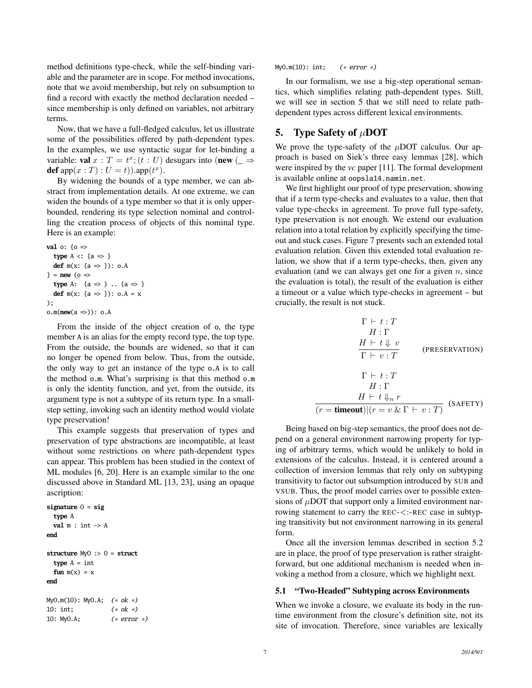method definitions type-check, while the self-binding variable and the parameter are in scope. For method invocations, note that we avoid membership, but rely on subsumption to find a record with exactly the method declaration needed – since membership is only defined on variables, not arbitrary terms.

Now, that we have a full-fledged calculus, let us illustrate some of the possibilities offered by path-dependent types. In the examples, we use syntactic sugar for let-binding a variable: **val**  $x : T = t^x$ ;  $(t : U)$  desugars into (**new** ( $\Rightarrow$ def app $(x : T) : U = t$ ).app $(t^x)$ .

By widening the bounds of a type member, we can abstract from implementation details. At one extreme, we can widen the bounds of a type member so that it is only upperbounded, rendering its type selection nominal and controlling the creation process of objects of this nominal type. Here is an example:

```
val o: {o =>
  type A <: {a => }
  def m(x: {a => }): o.A
} = new (0 =>
  type A: {a => } .. {a => }
  def m(x: \{a \Rightarrow \}): o.A = x);
o.m(new(a \Rightarrow)): o.A
```
From the inside of the object creation of o, the type member A is an alias for the empty record type, the top type. From the outside, the bounds are widened, so that it can no longer be opened from below. Thus, from the outside, the only way to get an instance of the type o.A is to call the method o.m. What's surprising is that this method o.m is only the identity function, and yet, from the outside, its argument type is not a subtype of its return type. In a smallstep setting, invoking such an identity method would violate type preservation!

This example suggests that preservation of types and preservation of type abstractions are incompatible, at least without some restrictions on where path-dependent types can appear. This problem has been studied in the context of ML modules [6, 20]. Here is an example similar to the one discussed above in Standard ML [13, 23], using an opaque ascription:

```
signature O = sig
 type A
 val m : int -> A
end
structure MyO :> O = struct
 type A = int
 fun m(x) = xend
MyO.m(10): MyO.A; (* ok *)
10: int; (* ok *)
```
10: MyO.A; (\* error \*)

MyO.m(10): int;  $(* error *)$ 

In our formalism, we use a big-step operational semantics, which simplifies relating path-dependent types. Still, we will see in section 5 that we still need to relate pathdependent types across different lexical environments.

# 5. Type Safety of  $\mu$ DOT

We prove the type-safety of the  $\mu$ DOT calculus. Our approach is based on Siek's three easy lemmas [28], which were inspired by the *vc* paper [11]. The formal development is available online at oopsla14.namin.net.

We first highlight our proof of type preservation, showing that if a term type-checks and evaluates to a value, then that value type-checks in agreement. To prove full type-safety, type preservation is not enough. We extend our evaluation relation into a total relation by explicitly specifying the timeout and stuck cases. Figure 7 presents such an extended total evaluation relation. Given this extended total evaluation relation, we show that if a term type-checks, then, given any evaluation (and we can always get one for a given  $n$ , since the evaluation is total), the result of the evaluation is either a timeout or a value which type-checks in agreement – but crucially, the result is not stuck.

$$
\Gamma \vdash t : T
$$
\n
$$
H : \Gamma
$$
\n
$$
\frac{H \vdash t \Downarrow v}{\Gamma \vdash v : T}
$$
\n
$$
\Gamma \vdash t : T
$$
\n
$$
H : \Gamma
$$
\n
$$
H \vdash t \Downarrow_n r
$$
\n
$$
(r = \text{timeout}) | (r = v \& \Gamma \vdash v : T)
$$
\n(SAFETY)

Being based on big-step semantics, the proof does not depend on a general environment narrowing property for typing of arbitrary terms, which would be unlikely to hold in extensions of the calculus. Instead, it is centered around a collection of inversion lemmas that rely only on subtyping transitivity to factor out subsumption introduced by SUB and VSUB. Thus, the proof model carries over to possible extensions of  $\mu$ DOT that support only a limited environment narrowing statement to carry the REC-<:-REC case in subtyping transitivity but not environment narrowing in its general form.

Once all the inversion lemmas described in section 5.2 are in place, the proof of type preservation is rather straightforward, but one additional mechanism is needed when invoking a method from a closure, which we highlight next.

### 5.1 "Two-Headed" Subtyping across Environments

When we invoke a closure, we evaluate its body in the runtime environment from the closure's definition site, not its site of invocation. Therefore, since variables are lexically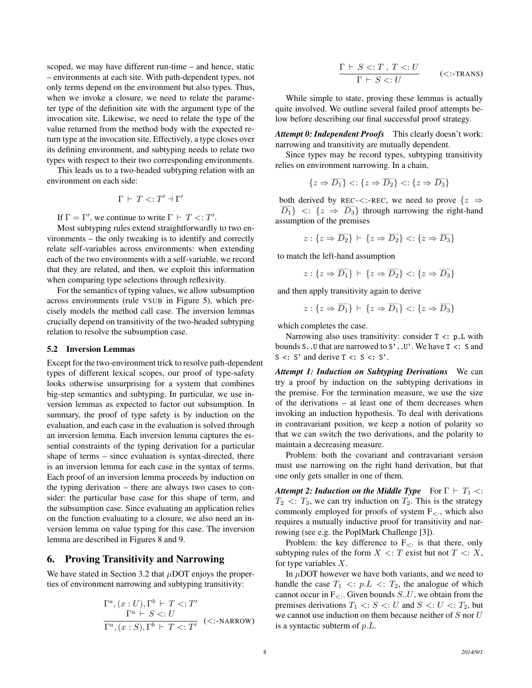scoped, we may have different run-time – and hence, static – environments at each site. With path-dependent types, not only terms depend on the environment but also types. Thus, when we invoke a closure, we need to relate the parameter type of the definition site with the argument type of the invocation site. Likewise, we need to relate the type of the value returned from the method body with the expected return type at the invocation site. Effectively, a type closes over its defining environment, and subtyping needs to relate two types with respect to their two corresponding environments.

This leads us to a two-headed subtyping relation with an environment on each side:

$$
\Gamma \vdash T<: T' \dashv \Gamma'
$$

If  $\Gamma = \Gamma'$ , we continue to write  $\Gamma \vdash T \lt: T'$ .

Most subtyping rules extend straightforwardly to two environments – the only tweaking is to identify and correctly relate self-variables across environments: when extending each of the two environments with a self-variable, we record that they are related, and then, we exploit this information when comparing type selections through reflexivity.

For the semantics of typing values, we allow subsumption across environments (rule VSUB in Figure 5), which precisely models the method call case. The inversion lemmas crucially depend on transitivity of the two-headed subtyping relation to resolve the subsumption case.

#### 5.2 Inversion Lemmas

Except for the two-environment trick to resolve path-dependent types of different lexical scopes, our proof of type-safety looks otherwise unsurprising for a system that combines big-step semantics and subtyping. In particular, we use inversion lemmas as expected to factor out subsumption. In summary, the proof of type safety is by induction on the evaluation, and each case in the evaluation is solved through an inversion lemma. Each inversion lemma captures the essential constraints of the typing derivation for a particular shape of terms – since evaluation is syntax-directed, there is an inversion lemma for each case in the syntax of terms. Each proof of an inversion lemma proceeds by induction on the typing derivation – there are always two cases to consider: the particular base case for this shape of term, and the subsumption case. Since evaluating an application relies on the function evaluating to a closure, we also need an inversion lemma on value typing for this case. The inversion lemma are described in Figures 8 and 9.

### 6. Proving Transitivity and Narrowing

We have stated in Section 3.2 that  $\mu$ DOT enjoys the properties of environment narrowing and subtyping transitivity:

$$
\frac{\Gamma^a, (x:U), \Gamma^b \vdash T <: T'}{\Gamma^a \vdash S <: U} \frac{\Gamma^a \vdash S <: U}{\Gamma^a, (x:S), \Gamma^b \vdash T <: T'} \quad (<:\text{-NARROW})
$$

$$
\frac{\Gamma \vdash S \lt;: T \,,\, T \lt;: U}{\Gamma \vdash S \lt;: U} \qquad \text{(<:-Trans)}
$$

While simple to state, proving these lemmas is actually quite involved. We outline several failed proof attempts below before describing our final successful proof strategy.

*Attempt 0: Independent Proofs* This clearly doesn't work: narrowing and transitivity are mutually dependent.

Since types may be record types, subtyping transitivity relies on environment narrowing. In a chain,

$$
\{z \Rightarrow \overline{D_1}\} <: \{z \Rightarrow \overline{D_2}\} <: \{z \Rightarrow \overline{D_3}\}
$$

both derived by REC- $\lt$ :-REC, we need to prove  $\{z \Rightarrow$  $D_1$  <:  $\{z \Rightarrow D_3\}$  through narrowing the right-hand assumption of the premises

$$
z: \{z \Rightarrow \overline{D_2}\} \vdash \{z \Rightarrow \overline{D_2}\} \langle z : \{z \Rightarrow \overline{D_3}\}\
$$

to match the left-hand assumption

$$
z: \{z \Rightarrow \overline{D_1}\} \vdash \{z \Rightarrow \overline{D_2}\} \langle z : \{z \Rightarrow \overline{D_3}\}\
$$

and then apply transitivity again to derive

$$
z: \{z \Rightarrow \overline{D_1}\} \vdash \{z \Rightarrow \overline{D_1}\} \langle z \Rightarrow \overline{D_3}\}
$$

which completes the case.

Narrowing also uses transitivity: consider  $T \leq: p.L$  with bounds S..U that are narrowed to S'..U'. We have T <: S and  $S \leq S'$  and derive  $T \leq S \leq S'$ .

*Attempt 1: Induction on Subtyping Derivations* We can try a proof by induction on the subtyping derivations in the premise. For the termination measure, we use the size of the derivations – at least one of them decreases when invoking an induction hypothesis. To deal with derivations in contravariant position, we keep a notion of polarity so that we can switch the two derivations, and the polarity to maintain a decreasing measure.

Problem: both the covariant and contravariant version must use narrowing on the right hand derivation, but that one only gets smaller in one of them.

*Attempt 2: Induction on the Middle Type* For  $\Gamma \vdash T_1$  <:  $T_2$  <:  $T_3$ , we can try induction on  $T_2$ . This is the strategy commonly employed for proofs of system  $F_{\leq}$ , which also requires a mutually inductive proof for transitivity and narrowing (see e.g. the PoplMark Challenge [3]).

Problem: the key difference to  $F_{\leq}$  is that there, only subtyping rules of the form  $X \leq T$  exist but not  $T \leq X$ , for type variables  $X$ .

In  $\mu$ DOT however we have both variants, and we need to handle the case  $T_1 \leq p.L \leq T_2$ , the analogue of which cannot occur in  $F_{\leq 1}$ . Given bounds  $S_{\leq 1}U$ , we obtain from the premises derivations  $T_1 \le S \le U$  and  $S \le U \le T_2$ , but we cannot use induction on them because neither of  $S$  nor  $U$ is a syntactic subterm of  $p.L$ .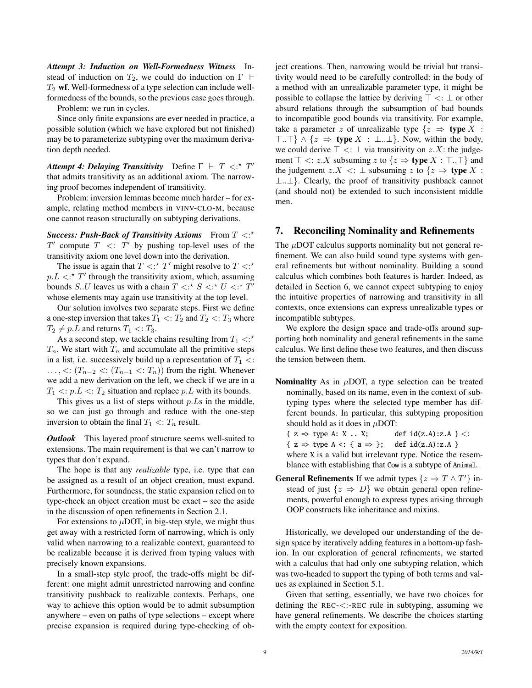*Attempt 3: Induction on Well-Formedness Witness* Instead of induction on  $T_2$ , we could do induction on  $\Gamma$   $\vdash$  $T_2$  wf. Well-formedness of a type selection can include wellformedness of the bounds, so the previous case goes through.

Problem: we run in cycles.

Since only finite expansions are ever needed in practice, a possible solution (which we have explored but not finished) may be to parameterize subtyping over the maximum derivation depth needed.

*Attempt 4: Delaying Transitivity* Define  $\Gamma \vdash T \leq r$   $\Gamma'$ that admits transitivity as an additional axiom. The narrowing proof becomes independent of transitivity.

Problem: inversion lemmas become much harder – for example, relating method members in VINV-CLO-M, because one cannot reason structurally on subtyping derivations.

**Success: Push-Back of Transitivity Axioms** From  $T \leq t^*$  $T'$  compute  $T < \cdot T'$  by pushing top-level uses of the transitivity axiom one level down into the derivation.

The issue is again that  $T \lt^:^* T'$  might resolve to  $T \lt^:^*$  $p.L \lt:^{\star} T'$  through the transitivity axiom, which, assuming bounds S. U leaves us with a chain  $T \prec^* S \prec^* U \prec^* T'$ whose elements may again use transitivity at the top level.

Our solution involves two separate steps. First we define a one-step inversion that takes  $T_1 \lt: T_2$  and  $T_2 \lt: T_3$  where  $T_2 \neq p.L$  and returns  $T_1 < T_3$ .

As a second step, we tackle chains resulting from  $T_1 \lt^*$  $T_n$ . We start with  $T_n$  and accumulate all the primitive steps in a list, i.e. successively build up a representation of  $T_1$  <:  $\ldots$ ,  $\lt:$ :  $(T_{n-2} \lt: (T_{n-1} \lt: T_n))$  from the right. Whenever we add a new derivation on the left, we check if we are in a  $T_1$  <:  $p.L$  <:  $T_2$  situation and replace  $p.L$  with its bounds.

This gives us a list of steps without  $p.Ls$  in the middle, so we can just go through and reduce with the one-step inversion to obtain the final  $T_1 \leq T_n$  result.

*Outlook* This layered proof structure seems well-suited to extensions. The main requirement is that we can't narrow to types that don't expand.

The hope is that any *realizable* type, i.e. type that can be assigned as a result of an object creation, must expand. Furthermore, for soundness, the static expansion relied on to type-check an object creation must be exact – see the aside in the discussion of open refinements in Section 2.1.

For extensions to  $\mu$ DOT, in big-step style, we might thus get away with a restricted form of narrowing, which is only valid when narrowing to a realizable context, guaranteed to be realizable because it is derived from typing values with precisely known expansions.

In a small-step style proof, the trade-offs might be different: one might admit unrestricted narrowing and confine transitivity pushback to realizable contexts. Perhaps, one way to achieve this option would be to admit subsumption anywhere – even on paths of type selections – except where precise expansion is required during type-checking of object creations. Then, narrowing would be trivial but transitivity would need to be carefully controlled: in the body of a method with an unrealizable parameter type, it might be possible to collapse the lattice by deriving  $\top \leq \bot$  or other absurd relations through the subsumption of bad bounds to incompatible good bounds via transitivity. For example, take a parameter z of unrealizable type  $\{z \Rightarrow \text{type } X$ :  $\top$ .. $\top$ }  $\land$  { $z \Rightarrow$  type  $X : \bot$ ... $\bot$ }. Now, within the body, we could derive  $\top \leq \bot$  via transitivity on  $z.X$ : the judgement  $\top \leq z.X$  subsuming z to  $\{z \Rightarrow \text{type } X : \top..\top\}$  and the judgement  $z.X \leq \bot$  subsuming  $z$  to  $\{z \Rightarrow \text{type } X :$ ⊥..⊥}. Clearly, the proof of transitivity pushback cannot (and should not) be extended to such inconsistent middle men.

### 7. Reconciling Nominality and Refinements

The  $\mu$ DOT calculus supports nominality but not general refinement. We can also build sound type systems with general refinements but without nominality. Building a sound calculus which combines both features is harder. Indeed, as detailed in Section 6, we cannot expect subtyping to enjoy the intuitive properties of narrowing and transitivity in all contexts, once extensions can express unrealizable types or incompatible subtypes.

We explore the design space and trade-offs around supporting both nominality and general refinements in the same calculus. We first define these two features, and then discuss the tension between them.

Nominality As in  $\mu$ DOT, a type selection can be treated nominally, based on its name, even in the context of subtyping types where the selected type member has different bounds. In particular, this subtyping proposition should hold as it does in  $\mu$ DOT:

{ $z \Rightarrow type A: X . . X;$  def  $id(z.A):z.A \leqslant$ { $z \Rightarrow type A \le \{ a \Rightarrow \}; \text{ def } id(z.A):z.A \}$ where X is a valid but irrelevant type. Notice the resemblance with establishing that Cow is a subtype of Animal.

**General Refinements** If we admit types  $\{z \Rightarrow T \wedge T'\}$  instead of just  $\{z \Rightarrow \overline{D}\}\$  we obtain general open refinements, powerful enough to express types arising through OOP constructs like inheritance and mixins.

Historically, we developed our understanding of the design space by iteratively adding features in a bottom-up fashion. In our exploration of general refinements, we started with a calculus that had only one subtyping relation, which was two-headed to support the typing of both terms and values as explained in Section 5.1.

Given that setting, essentially, we have two choices for defining the REC-<:-REC rule in subtyping, assuming we have general refinements. We describe the choices starting with the empty context for exposition.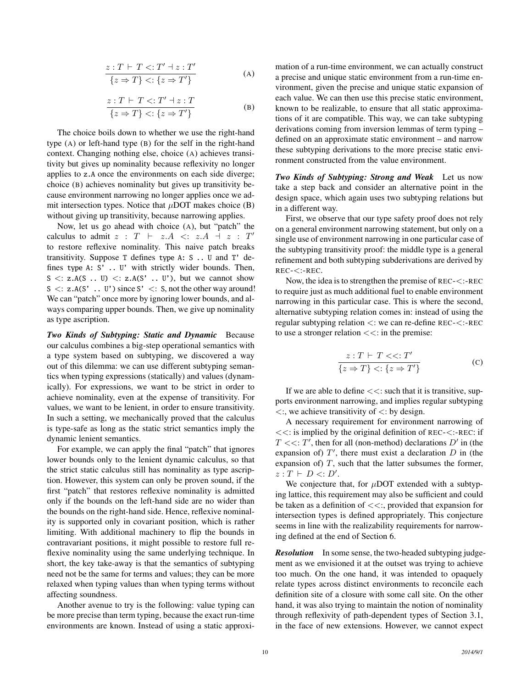$$
\frac{z: T \vdash T <: T' \vdash z: T'}{\{z \Rightarrow T\} <: \{z \Rightarrow T'\}}
$$
\n(A)

$$
\frac{z: T \vdash T <: T' \vdash z: T}{\{z \Rightarrow T\} <: \{z \Rightarrow T'\}}
$$
\n(B)

The choice boils down to whether we use the right-hand type (A) or left-hand type (B) for the self in the right-hand context. Changing nothing else, choice (A) achieves transitivity but gives up nominality because reflexivity no longer applies to z.A once the environments on each side diverge; choice (B) achieves nominality but gives up transitivity because environment narrowing no longer applies once we admit intersection types. Notice that  $\mu$ DOT makes choice (B) without giving up transitivity, because narrowing applies.

Now, let us go ahead with choice (A), but "patch" the calculus to admit  $z : T \vdash z.A \iff z.A \dashv z : T'$ to restore reflexive nominality. This naive patch breaks transitivity. Suppose T defines type A: S .. U and T' defines type A: S' .. U' with strictly wider bounds. Then,  $S \leq: z.A(S \dots U) \leq: z.A(S' \dots U'),$  but we cannot show  $S \leq z.A(S' \dots U')$  since  $S' \leq S$ , not the other way around! We can "patch" once more by ignoring lower bounds, and always comparing upper bounds. Then, we give up nominality as type ascription.

*Two Kinds of Subtyping: Static and Dynamic* Because our calculus combines a big-step operational semantics with a type system based on subtyping, we discovered a way out of this dilemma: we can use different subtyping semantics when typing expressions (statically) and values (dynamically). For expressions, we want to be strict in order to achieve nominality, even at the expense of transitivity. For values, we want to be lenient, in order to ensure transitivity. In such a setting, we mechanically proved that the calculus is type-safe as long as the static strict semantics imply the dynamic lenient semantics.

For example, we can apply the final "patch" that ignores lower bounds only to the lenient dynamic calculus, so that the strict static calculus still has nominality as type ascription. However, this system can only be proven sound, if the first "patch" that restores reflexive nominality is admitted only if the bounds on the left-hand side are no wider than the bounds on the right-hand side. Hence, reflexive nominality is supported only in covariant position, which is rather limiting. With additional machinery to flip the bounds in contravariant positions, it might possible to restore full reflexive nominality using the same underlying technique. In short, the key take-away is that the semantics of subtyping need not be the same for terms and values; they can be more relaxed when typing values than when typing terms without affecting soundness.

Another avenue to try is the following: value typing can be more precise than term typing, because the exact run-time environments are known. Instead of using a static approximation of a run-time environment, we can actually construct a precise and unique static environment from a run-time environment, given the precise and unique static expansion of each value. We can then use this precise static environment, known to be realizable, to ensure that all static approximations of it are compatible. This way, we can take subtyping derivations coming from inversion lemmas of term typing – defined on an approximate static environment – and narrow these subtyping derivations to the more precise static environment constructed from the value environment.

*Two Kinds of Subtyping: Strong and Weak* Let us now take a step back and consider an alternative point in the design space, which again uses two subtyping relations but in a different way.

First, we observe that our type safety proof does not rely on a general environment narrowing statement, but only on a single use of environment narrowing in one particular case of the subtyping transitivity proof: the middle type is a general refinement and both subtyping subderivations are derived by REC-<:-REC.

Now, the idea is to strengthen the premise of REC-<:-REC to require just as much additional fuel to enable environment narrowing in this particular case. This is where the second, alternative subtyping relation comes in: instead of using the regular subtyping relation <: we can re-define REC-<:-REC to use a stronger relation  $<<$ : in the premise:

$$
\frac{z: T \vdash T \lt\lt;: T'}{\{z \Rightarrow T\} \lt: : \{z \Rightarrow T'\}}
$$
\n(C)

If we are able to define  $<<$ : such that it is transitive, supports environment narrowing, and implies regular subtyping  $\lt$ :, we achieve transitivity of  $\lt$ : by design.

A necessary requirement for environment narrowing of  $<<$ : is implied by the original definition of REC- $<<$ :-REC: if  $T \ll T'$ , then for all (non-method) declarations  $D'$  in (the expansion of)  $T'$ , there must exist a declaration  $D$  in (the expansion of)  $T$ , such that the latter subsumes the former,  $z: T \vdash D \lt L D'.$ 

We conjecture that, for  $\mu$ DOT extended with a subtyping lattice, this requirement may also be sufficient and could be taken as a definition of  $<<$ :, provided that expansion for intersection types is defined appropriately. This conjecture seems in line with the realizability requirements for narrowing defined at the end of Section 6.

*Resolution* In some sense, the two-headed subtyping judgement as we envisioned it at the outset was trying to achieve too much. On the one hand, it was intended to opaquely relate types across distinct environments to reconcile each definition site of a closure with some call site. On the other hand, it was also trying to maintain the notion of nominality through reflexivity of path-dependent types of Section 3.1, in the face of new extensions. However, we cannot expect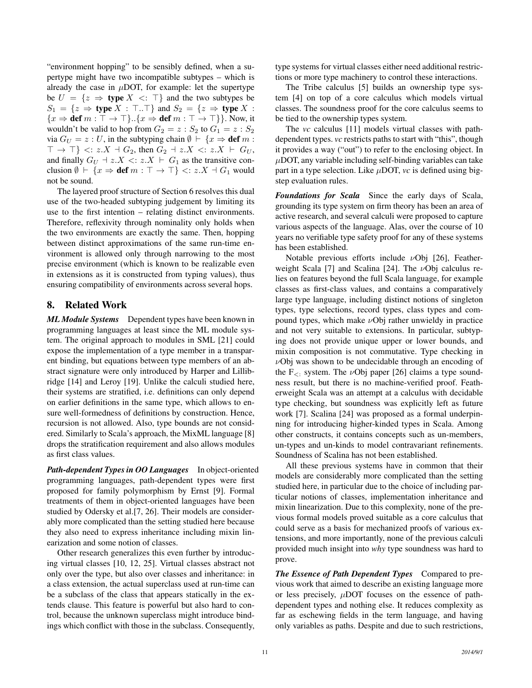"environment hopping" to be sensibly defined, when a supertype might have two incompatible subtypes – which is already the case in  $\mu$ DOT, for example: let the supertype be  $U = \{z \Rightarrow \text{type } X \leq z \text{ and the two subtypes be}$  $S_1 = \{z \Rightarrow \text{type } X : \top \ldots \top \}$  and  $S_2 = \{z \Rightarrow \text{type } X : \top \ldots \top \}$  ${x \Rightarrow \text{def } m : \top \rightarrow \top}.$   ${x \Rightarrow \text{def } m : \top \rightarrow \top}$ . Now, it wouldn't be valid to hop from  $G_2 = z : S_2$  to  $G_1 = z : S_2$ via  $G_U = z : U$ , in the subtyping chain  $\emptyset \vdash \{x \Rightarrow \text{def } m :$  $\{\top \rightarrow \top\} \leq z.X \dashv G_2$ , then  $G_2 \dashv z.X \leq z.X \vdash G_U$ , and finally  $G_U$  +  $z.X < z.X$  +  $G_1$  as the transitive conclusion  $\emptyset \vdash \{x \Rightarrow \text{def } m : \top \rightarrow \top\} \langle : z.X \dashv G_1 \text{ would}$ not be sound.

The layered proof structure of Section 6 resolves this dual use of the two-headed subtyping judgement by limiting its use to the first intention – relating distinct environments. Therefore, reflexivity through nominality only holds when the two environments are exactly the same. Then, hopping between distinct approximations of the same run-time environment is allowed only through narrowing to the most precise environment (which is known to be realizable even in extensions as it is constructed from typing values), thus ensuring compatibility of environments across several hops.

# 8. Related Work

*ML Module Systems* Dependent types have been known in programming languages at least since the ML module system. The original approach to modules in SML [21] could expose the implementation of a type member in a transparent binding, but equations between type members of an abstract signature were only introduced by Harper and Lillibridge [14] and Leroy [19]. Unlike the calculi studied here, their systems are stratified, i.e. definitions can only depend on earlier definitions in the same type, which allows to ensure well-formedness of definitions by construction. Hence, recursion is not allowed. Also, type bounds are not considered. Similarly to Scala's approach, the MixML language [8] drops the stratification requirement and also allows modules as first class values.

*Path-dependent Types in OO Languages* In object-oriented programming languages, path-dependent types were first proposed for family polymorphism by Ernst [9]. Formal treatments of them in object-oriented languages have been studied by Odersky et al.[7, 26]. Their models are considerably more complicated than the setting studied here because they also need to express inheritance including mixin linearization and some notion of classes.

Other research generalizes this even further by introducing virtual classes [10, 12, 25]. Virtual classes abstract not only over the type, but also over classes and inheritance: in a class extension, the actual superclass used at run-time can be a subclass of the class that appears statically in the extends clause. This feature is powerful but also hard to control, because the unknown superclass might introduce bindings which conflict with those in the subclass. Consequently,

type systems for virtual classes either need additional restrictions or more type machinery to control these interactions.

The Tribe calculus [5] builds an ownership type system [4] on top of a core calculus which models virtual classes. The soundness proof for the core calculus seems to be tied to the ownership types system.

The *vc* calculus [11] models virtual classes with pathdependent types. *vc* restricts paths to start with "this", though it provides a way ("out") to refer to the enclosing object. In  $\mu$ DOT, any variable including self-binding variables can take part in a type selection. Like  $\mu$ DOT, *vc* is defined using bigstep evaluation rules.

*Foundations for Scala* Since the early days of Scala, grounding its type system on firm theory has been an area of active research, and several calculi were proposed to capture various aspects of the language. Alas, over the course of 10 years no verifiable type safety proof for any of these systems has been established.

Notable previous efforts include  $\nu$ Obj [26], Featherweight Scala [7] and Scalina [24]. The  $\nu$ Obj calculus relies on features beyond the full Scala language, for example classes as first-class values, and contains a comparatively large type language, including distinct notions of singleton types, type selections, record types, class types and compound types, which make  $\nu$ Obj rather unwieldy in practice and not very suitable to extensions. In particular, subtyping does not provide unique upper or lower bounds, and mixin composition is not commutative. Type checking in  $\nu$ Obj was shown to be undecidable through an encoding of the  $F_{\leq}$  system. The *v*Obj paper [26] claims a type soundness result, but there is no machine-verified proof. Featherweight Scala was an attempt at a calculus with decidable type checking, but soundness was explicitly left as future work [7]. Scalina [24] was proposed as a formal underpinning for introducing higher-kinded types in Scala. Among other constructs, it contains concepts such as un-members, un-types and un-kinds to model contravariant refinements. Soundness of Scalina has not been established.

All these previous systems have in common that their models are considerably more complicated than the setting studied here, in particular due to the choice of including particular notions of classes, implementation inheritance and mixin linearization. Due to this complexity, none of the previous formal models proved suitable as a core calculus that could serve as a basis for mechanized proofs of various extensions, and more importantly, none of the previous calculi provided much insight into *why* type soundness was hard to prove.

*The Essence of Path Dependent Types* Compared to previous work that aimed to describe an existing language more or less precisely,  $\mu$ DOT focuses on the essence of pathdependent types and nothing else. It reduces complexity as far as eschewing fields in the term language, and having only variables as paths. Despite and due to such restrictions,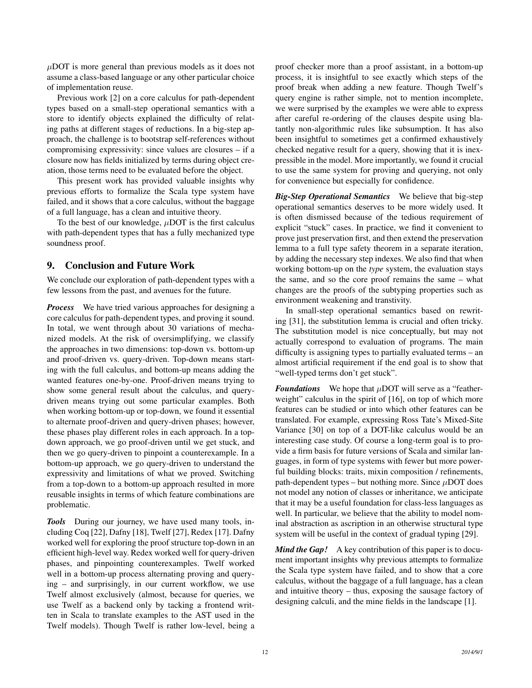$\mu$ DOT is more general than previous models as it does not assume a class-based language or any other particular choice of implementation reuse.

Previous work [2] on a core calculus for path-dependent types based on a small-step operational semantics with a store to identify objects explained the difficulty of relating paths at different stages of reductions. In a big-step approach, the challenge is to bootstrap self-references without compromising expressivity: since values are closures – if a closure now has fields initialized by terms during object creation, those terms need to be evaluated before the object.

This present work has provided valuable insights why previous efforts to formalize the Scala type system have failed, and it shows that a core calculus, without the baggage of a full language, has a clean and intuitive theory.

To the best of our knowledge,  $\mu$ DOT is the first calculus with path-dependent types that has a fully mechanized type soundness proof.

# 9. Conclusion and Future Work

We conclude our exploration of path-dependent types with a few lessons from the past, and avenues for the future.

*Process* We have tried various approaches for designing a core calculus for path-dependent types, and proving it sound. In total, we went through about 30 variations of mechanized models. At the risk of oversimplifying, we classify the approaches in two dimensions: top-down vs. bottom-up and proof-driven vs. query-driven. Top-down means starting with the full calculus, and bottom-up means adding the wanted features one-by-one. Proof-driven means trying to show some general result about the calculus, and querydriven means trying out some particular examples. Both when working bottom-up or top-down, we found it essential to alternate proof-driven and query-driven phases; however, these phases play different roles in each approach. In a topdown approach, we go proof-driven until we get stuck, and then we go query-driven to pinpoint a counterexample. In a bottom-up approach, we go query-driven to understand the expressivity and limitations of what we proved. Switching from a top-down to a bottom-up approach resulted in more reusable insights in terms of which feature combinations are problematic.

*Tools* During our journey, we have used many tools, including Coq [22], Dafny [18], Twelf [27], Redex [17]. Dafny worked well for exploring the proof structure top-down in an efficient high-level way. Redex worked well for query-driven phases, and pinpointing counterexamples. Twelf worked well in a bottom-up process alternating proving and querying – and surprisingly, in our current workflow, we use Twelf almost exclusively (almost, because for queries, we use Twelf as a backend only by tacking a frontend written in Scala to translate examples to the AST used in the Twelf models). Though Twelf is rather low-level, being a proof checker more than a proof assistant, in a bottom-up process, it is insightful to see exactly which steps of the proof break when adding a new feature. Though Twelf's query engine is rather simple, not to mention incomplete, we were surprised by the examples we were able to express after careful re-ordering of the clauses despite using blatantly non-algorithmic rules like subsumption. It has also been insightful to sometimes get a confirmed exhaustively checked negative result for a query, showing that it is inexpressible in the model. More importantly, we found it crucial to use the same system for proving and querying, not only for convenience but especially for confidence.

*Big-Step Operational Semantics* We believe that big-step operational semantics deserves to be more widely used. It is often dismissed because of the tedious requirement of explicit "stuck" cases. In practice, we find it convenient to prove just preservation first, and then extend the preservation lemma to a full type safety theorem in a separate iteration, by adding the necessary step indexes. We also find that when working bottom-up on the *type* system, the evaluation stays the same, and so the core proof remains the same – what changes are the proofs of the subtyping properties such as environment weakening and transtivity.

In small-step operational semantics based on rewriting [31], the substitution lemma is crucial and often tricky. The substitution model is nice conceptually, but may not actually correspond to evaluation of programs. The main difficulty is assigning types to partially evaluated terms – an almost artificial requirement if the end goal is to show that "well-typed terms don't get stuck".

*Foundations* We hope that  $\mu$ DOT will serve as a "featherweight" calculus in the spirit of [16], on top of which more features can be studied or into which other features can be translated. For example, expressing Ross Tate's Mixed-Site Variance [30] on top of a DOT-like calculus would be an interesting case study. Of course a long-term goal is to provide a firm basis for future versions of Scala and similar languages, in form of type systems with fewer but more powerful building blocks: traits, mixin composition / refinements, path-dependent types – but nothing more. Since  $\mu$ DOT does not model any notion of classes or inheritance, we anticipate that it may be a useful foundation for class-less languages as well. In particular, we believe that the ability to model nominal abstraction as ascription in an otherwise structural type system will be useful in the context of gradual typing [29].

*Mind the Gap!* A key contribution of this paper is to document important insights why previous attempts to formalize the Scala type system have failed, and to show that a core calculus, without the baggage of a full language, has a clean and intuitive theory – thus, exposing the sausage factory of designing calculi, and the mine fields in the landscape [1].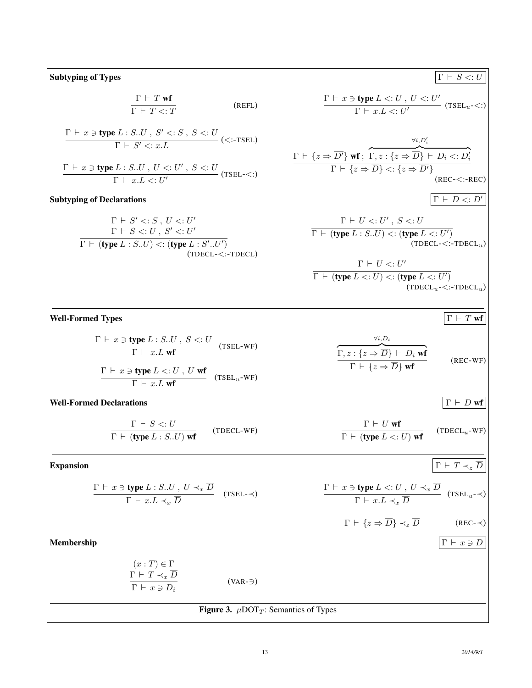Subtyping of Types Γ ` S <: U 0 Γ ` T wf Γ ` x 3 type L <: U , U <: U (REFL) (TSELu-<:) 0 Γ ` T <: T Γ ` x.L <: U Γ ` x 3 type L : S..U , S<sup>0</sup> <: S , S <: U (<:-TSEL) ∀i,D<sup>0</sup> i Γ ` S <sup>0</sup> <: x.L z }| { Γ, z : {z ⇒ D} ` D<sup>i</sup> <: D<sup>0</sup> Γ ` {z ⇒ D<sup>0</sup>} wf ; i 0 Γ ` x 3 type L : S..U , U <: U , S <: U Γ ` {z ⇒ D} <: {z ⇒ D<sup>0</sup>} (TSEL-<:) 0 (REC-<:-REC) Γ ` x.L <: U Subtyping of Declarations Γ ` D <: D<sup>0</sup> <sup>0</sup> <: S , U <: U 0 0 Γ ` S Γ ` U <: U , S <: U Γ ` S <: U , S<sup>0</sup> <: U 0 0 Γ ` (type L : S..U) <: (type L <: U ) 0 ..U<sup>0</sup> Γ ` (type L : S..U) <: (type L : S ) (TDECL-<:-TDECLu) (TDECL-<:-TDECL) 0 Γ ` U <: U 0 Γ ` (type L <: U) <: (type L <: U ) (TDECLu-<:-TDECLu) Well-Formed Types Γ ` T wf Γ ` x 3 type L : S..U , S <: U ∀i,D<sup>i</sup> (TSEL-WF) z }| { Γ ` x.L wf Γ, z : {z ⇒ D} ` D<sup>i</sup> wf (REC-WF) Γ ` {z ⇒ D} wf Γ ` x 3 type L <: U , U wf (TSELu-WF) Γ ` x.L wf Well-Formed Declarations Γ ` D wf Γ ` S <: U Γ ` U wf (TDECL-WF) (TDECLu-WF) Γ ` (type L : S..U) wf Γ ` (type L <: U) wf Expansion Γ ` T ≺<sup>z</sup> D Γ ` x 3 type L : S..U , U ≺<sup>x</sup> D Γ ` x 3 type L <: U , U ≺<sup>x</sup> D (TSEL-≺) (TSELu-≺) Γ ` x.L ≺<sup>x</sup> D Γ ` x.L ≺<sup>x</sup> D Γ ` {z ⇒ D} ≺<sup>z</sup> D (REC-≺) Membership Γ ` x 3 D (x : T) ∈ Γ Γ ` T ≺<sup>x</sup> D (VAR-3) Γ ` x 3 D<sup>i</sup> Figure 3. µDOT<sup>T</sup> : Semantics of Types 

 $\mathsf{l}$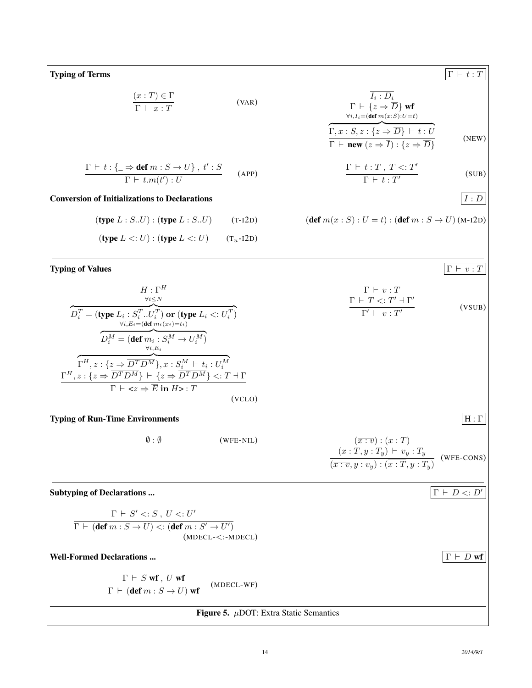Typing of Terms

\n
$$
\frac{(x:T) \in \Gamma}{\Gamma \vdash x:T}
$$
\n
$$
\frac{(x:T) \in \Gamma}{\Gamma \vdash x:T}
$$
\n
$$
\frac{\Gamma \vdash \{z \Rightarrow D\} \text{wf}}{\Gamma \vdash \{x : S, z : \{z \Rightarrow D\} \text{vf}} \cdot \frac{\Gamma \vdash \{z \Rightarrow D\} \text{wf}}{\Gamma \vdash \{x : S, z : \{z \Rightarrow D\} \text{vf}} \cdot \frac{\Gamma \vdash \{z : D\}}{\Gamma \vdash \{x : T \land z = D\}}}
$$
\nConversion of Initialization to Declaration

\n
$$
\frac{\Gamma \vdash t : \{\bot \Rightarrow \text{def } m : S \Rightarrow U \} , t': S}{\Gamma \vdash t.m(t') : U}
$$
\n
$$
\frac{\Gamma \vdash t : T, T \le T'}{\Gamma \vdash t.m(t') : U}
$$
\n
$$
\frac{\Gamma \vdash t : T, T \le T'}{\Gamma \vdash t \cdot T}
$$
\n
$$
\frac{\Gamma \vdash t : T'}{\Gamma \vdash t \cdot T}
$$
\nConversion of Initialization to Declaration

\n
$$
\frac{\Gamma \vdash t : T'}{\Gamma \vdash t.m(t') : U}
$$
\n
$$
\frac{\Gamma \vdash t : T'}{\Gamma \vdash t \cdot T' \cdot T'}
$$
\n
$$
\frac{\Gamma \vdash t : T'}{\Gamma \vdash t \cdot T' \cdot T'}
$$
\n
$$
\frac{\Gamma \vdash t : T'}{\Gamma \vdash t \cdot T' \cdot T'}
$$
\n
$$
\frac{\Gamma \vdash t : T'}{\Gamma \vdash t \cdot T' \cdot T'}
$$
\n
$$
\frac{\Gamma \vdash t : T'}{\Gamma \vdash t \cdot T' \cdot T'}
$$
\n
$$
\frac{\Gamma \vdash t : T'}{\Gamma \vdash t \cdot T' \cdot T'}
$$
\n
$$
\frac{\Gamma \vdash t : T'}{\Gamma \vdash t \cdot T' \cdot T'}
$$
\n
$$
\frac{\Gamma \vdash t : T'}{\Gamma \vdash t \cdot T' \cdot T'}
$$
\n
$$
\frac{\Gamma \vdash t : T'}{\Gamma \vdash t \cdot T' \cdot T'}
$$
\n
$$
\frac{\Gamma \vdash t : T'}{\Gamma \vdash t \cdot T' \cdot T'}
$$
\n
$$
\frac{\Gamma \vdash t : T'}{\Gamma \
$$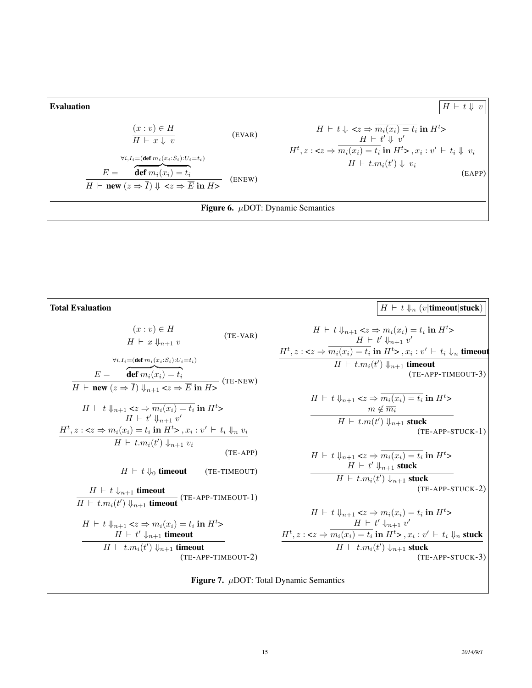| <b>Evaluation</b>                                                                                                                                                                                                                 |        | $H \vdash t \Downarrow v$                                                                                                                                                                                                     |
|-----------------------------------------------------------------------------------------------------------------------------------------------------------------------------------------------------------------------------------|--------|-------------------------------------------------------------------------------------------------------------------------------------------------------------------------------------------------------------------------------|
| $(x : v) \in H$<br>$H \vdash x \Downarrow v$                                                                                                                                                                                      | (EVAR) | $H \vdash t \Downarrow \langle z \Rightarrow m_i(x_i) = t_i \text{ in } H^t \rangle$<br>$H \vdash t' \Downarrow v'$<br>$H^t, z: \langle z \rangle \Rightarrow m_i(x_i) = t_i$ in $H^t$ , $x_i : v' \vdash t_i \Downarrow v_i$ |
| $\forall i, I_i = (\text{def } m_i(x_i; S_i): U_i = t_i)$<br>def $m_i(x_i) = t_i$<br>$E =$<br>$H \vdash \textbf{new} (z \Rightarrow \overline{I}) \Downarrow \langle z \Rightarrow \overline{E} \textbf{in} \overline{I} \rangle$ | (ENEW) | $H \vdash t.m_i(t') \Downarrow v_i$<br>(EAPP)                                                                                                                                                                                 |
| <b>Figure 6.</b> $\mu$ DOT: Dynamic Semantics                                                                                                                                                                                     |        |                                                                                                                                                                                                                               |

| Total Evaluation                                                                                                                                                                                                                                                                                                                                                                                                                                                                                                                                                                                                                                                                                                                                                                                                                                                                                                                                                                                                                                                                                                                                                                                                                                                                                                                                                                                                                                                                                               | $H + t \Downarrow_n (v   \text{timeout}   \text{stuck})$ |
|----------------------------------------------------------------------------------------------------------------------------------------------------------------------------------------------------------------------------------------------------------------------------------------------------------------------------------------------------------------------------------------------------------------------------------------------------------------------------------------------------------------------------------------------------------------------------------------------------------------------------------------------------------------------------------------------------------------------------------------------------------------------------------------------------------------------------------------------------------------------------------------------------------------------------------------------------------------------------------------------------------------------------------------------------------------------------------------------------------------------------------------------------------------------------------------------------------------------------------------------------------------------------------------------------------------------------------------------------------------------------------------------------------------------------------------------------------------------------------------------------------------|----------------------------------------------------------|
| \n $\begin{aligned}\n &\text{(x : v)} \in H \\  &\overline{H + x \Downarrow_{n+1} v} \\  &\overline{H + x \Downarrow_{n+1} v} \\  &\overline{H + x \Downarrow_{n+1} v} \\  &\overline{H + x \Downarrow_{n+1} v} \\  &\overline{H + x \Downarrow_{n+1} v} \\  &\overline{H + x \Downarrow_{n+1} v} \\  &\overline{H + x \Downarrow_{n+1} v} \\  &\overline{H + x \Downarrow_{n+1} v} \\  &\overline{H + x \Downarrow_{n+1} v} \\  &\overline{H + x \Downarrow_{n+1} v} \\  &\overline{H + x \Downarrow_{n+1} v} \\  &\overline{H + x \Downarrow_{n+1} v} \\  &\overline{H + x \Downarrow_{n+1} v} \\  &\overline{H + x \Downarrow_{n+1} v} \\  &\overline{H + x \Downarrow_{n+1} v} \\  &\overline{H + x \Downarrow_{n+1} v} \\  &\overline{H + x \Downarrow_{n+1} v} \\  &\overline{H + x \Downarrow_{n+1} v} \\  &\overline{H + x \Downarrow_{n+1} v} \\  &\overline{H + x \Downarrow_{n+1} v} \\  &\overline{H + x \Downarrow_{n+1} v} \\  &\overline{H + x \Downarrow_{n+1} v} \\  &\overline{H + x \Downarrow_{n+1} v} \\  &\overline{H + x \Downarrow_{n+1} v} \\  &\overline{H + x \Downarrow_{n+1} v} \\  &\overline{H + x \Downarrow_{n+1} v} \\  &\overline{H + x \Downarrow_{n+1} v} \\  &\overline{H + x \Downarrow_{n+1} v} \\  &\overline{H + x \Downarrow_{n+1} v} \\  &\overline{H + x \Downarrow_{n+1} v} \\  &\overline{H + x \Downarrow_{n+1} v} \\  &\overline{H + x \Downarrow_{n+1} v} \\  &\overline{H + x \Downarrow_{n+1} v} \\  &\overline{H + x \Downarrow_{n+1} v} \\  &\overline{$ |                                                          |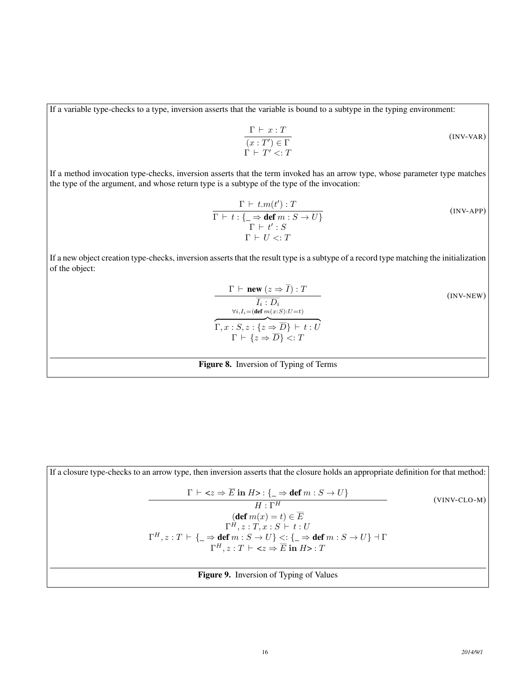If a variable type-checks to a type, inversion asserts that the variable is bound to a subtype in the typing environment:

$$
\frac{\Gamma \vdash x : T}{(x : T') \in \Gamma} \tag{INV-VAR}
$$
\n
$$
\Gamma \vdash T' <: T
$$

If a method invocation type-checks, inversion asserts that the term invoked has an arrow type, whose parameter type matches the type of the argument, and whose return type is a subtype of the type of the invocation:

$$
\frac{\Gamma \vdash t.m(t'): T}{\Gamma \vdash t : \{\_ \Rightarrow \text{def } m : S \to U\}} \tag{INV-APP}
$$
\n
$$
\frac{\Gamma \vdash t : S}{\Gamma \vdash t' : S}
$$
\n
$$
\Gamma \vdash U \lt: T
$$

If a new object creation type-checks, inversion asserts that the result type is a subtype of a record type matching the initialization of the object:

$$
\frac{\Gamma \vdash \mathbf{new} (z \Rightarrow \overline{I}) : T}{\overline{I_i : D_i}}
$$
\n
$$
\frac{\forall i, I_i = (\mathbf{def} m(x:S): U = t)}{\Gamma, x : S, z : \{z \Rightarrow \overline{D}\} \vdash t : U}
$$
\n
$$
\Gamma \vdash \{z \Rightarrow \overline{D}\} <: T
$$
\n
$$
(INV-NEW)
$$

### Figure 8. Inversion of Typing of Terms

If a closure type-checks to an arrow type, then inversion asserts that the closure holds an appropriate definition for that method:

$$
\frac{\Gamma \vdash \langle z \rangle \Rightarrow \overline{E} \text{ in } H \rangle : \{ \bot \Rightarrow \text{def } m : S \to U \}}{H : \Gamma^H}
$$
\n
$$
(\text{def } m(x) = t) \in \overline{E}
$$
\n
$$
\Gamma^H, z : T, x : S \vdash t : U
$$
\n
$$
\Gamma^H, z : T \vdash \{ \bot \Rightarrow \text{def } m : S \to U \} \leq: \{ \bot \Rightarrow \text{def } m : S \to U \} \dashv \Gamma
$$
\n
$$
\Gamma^H, z : T \vdash \langle z \rangle \Rightarrow \overline{E} \text{ in } H \rangle : T
$$
\n
$$
(VINV-CLO-M) \Rightarrow (VINV-CLO-M) \Rightarrow (VINV-CLO-M) \Rightarrow (VINV-CLO-M) \Rightarrow (VINV-CLO-M) \Rightarrow (VINV-CLO-M) \Rightarrow (VINV-CLO-M) \Rightarrow (VINV-CLO-M) \Rightarrow (VINV-CLO-M) \Rightarrow (VINV-CLO-M) \Rightarrow (VINV-CLO-M) \Rightarrow (VINV-CLO-M) \Rightarrow (VINV-CLO-M) \Rightarrow (VINV-CLO-M) \Rightarrow (VINV-CLO-M) \Rightarrow (VINV-CLO-M) \Rightarrow (VINV-CLO-M) \Rightarrow (VINV-CLO-M) \Rightarrow (VINV-CLO-M) \Rightarrow (VINV-CLO-M) \Rightarrow (VINV-CLO-M) \Rightarrow (VINV-CLO-M) \Rightarrow (VINV-CLO-M) \Rightarrow (VINV-CLO-M) \Rightarrow (VINV-CLO-M) \Rightarrow (VINV-CLO-M) \Rightarrow (VINV-CLO-M) \Rightarrow (VINV-CLO-M) \Rightarrow (VINV-CLO-M) \Rightarrow (VINV-CLO-M) \Rightarrow (VINV-CLO-M) \Rightarrow (VINV-CLO-M) \Rightarrow (VINV-CLO-M) \Rightarrow (VINV-CLO-M) \Rightarrow (VINV-CLO-M) \Rightarrow (VINV-CLO-M) \Rightarrow (VINV-CLO-M) \Rightarrow (VINV-CLO-M) \Rightarrow (VINV-CLO-M) \Rightarrow (VINV-CLO-M) \Rightarrow (VINV-CLO-M) \Rightarrow (VINV-CLO-M) \Rightarrow (VINV-CLO-M) \Rightarrow (VINV-CLO-M) \Rightarrow (VINV-CLO-M) \Rightarrow (VINV-CLO-M) \Rightarrow (VINV-CLO-M) \Rightarrow (VINV-CLO-M) \Rightarrow (VIN
$$

Figure 9. Inversion of Typing of Values